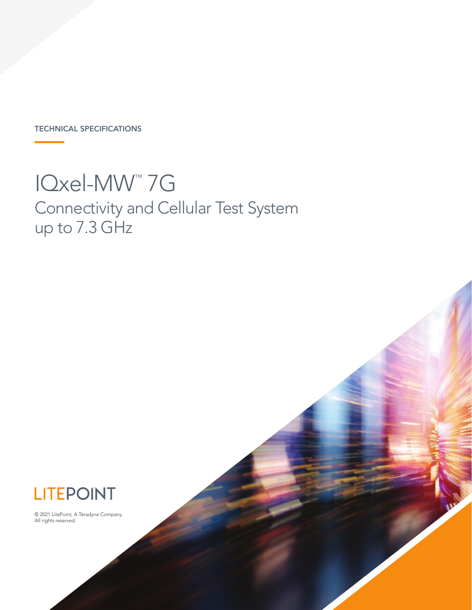TECHNICAL SPECIFICATIONS

# IQxel-MW™ 7G Connectivity and Cellular Test System

up to 7.3 GHz



© 2021 LitePoint, A Teradyne Company. All rights reserved.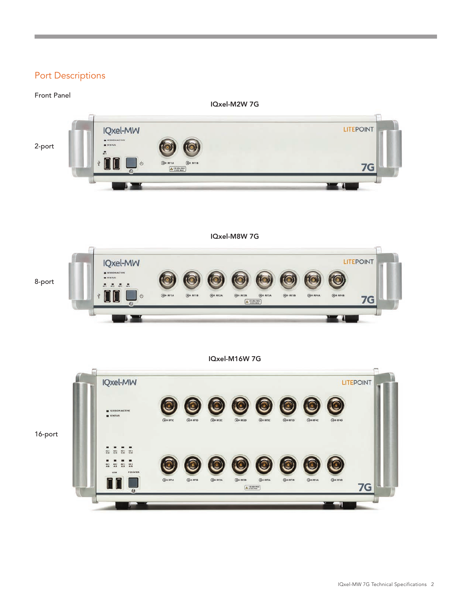#### Port Descriptions

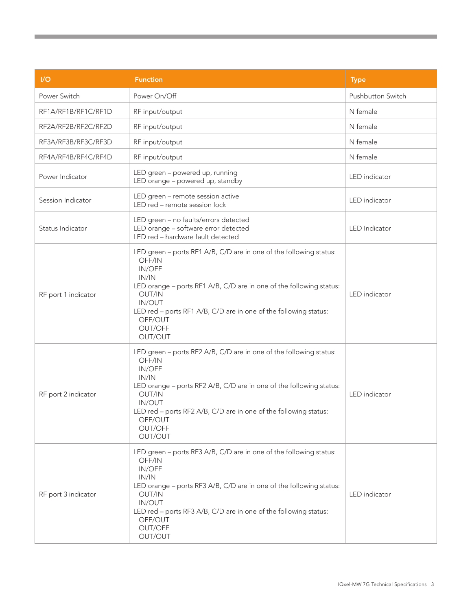| 1/O                 | <b>Function</b>                                                                                                                                                                                                                                                                                               | <b>Type</b>              |
|---------------------|---------------------------------------------------------------------------------------------------------------------------------------------------------------------------------------------------------------------------------------------------------------------------------------------------------------|--------------------------|
| Power Switch        | Power On/Off                                                                                                                                                                                                                                                                                                  | <b>Pushbutton Switch</b> |
| RF1A/RF1B/RF1C/RF1D | RF input/output                                                                                                                                                                                                                                                                                               | N female                 |
| RF2A/RF2B/RF2C/RF2D | RF input/output                                                                                                                                                                                                                                                                                               | N female                 |
| RF3A/RF3B/RF3C/RF3D | RF input/output                                                                                                                                                                                                                                                                                               | N female                 |
| RF4A/RF4B/RF4C/RF4D | RF input/output                                                                                                                                                                                                                                                                                               | N female                 |
| Power Indicator     | LED green - powered up, running<br>LED orange - powered up, standby                                                                                                                                                                                                                                           | LED indicator            |
| Session Indicator   | LED green - remote session active<br>LED red - remote session lock                                                                                                                                                                                                                                            | LED indicator            |
| Status Indicator    | LED green - no faults/errors detected<br>LED orange - software error detected<br>LED red - hardware fault detected                                                                                                                                                                                            | <b>LED</b> Indicator     |
| RF port 1 indicator | LED green - ports RF1 A/B, C/D are in one of the following status:<br>OFF/IN<br><b>IN/OFF</b><br>IN/IN<br>LED orange - ports RF1 A/B, C/D are in one of the following status:<br>OUT/IN<br>IN/OUT<br>LED red - ports RF1 A/B, C/D are in one of the following status:<br>OFF/OUT<br>OUT/OFF<br>OUT/OUT        | LED indicator            |
| RF port 2 indicator | LED green - ports RF2 A/B, C/D are in one of the following status:<br>OFF/IN<br><b>IN/OFF</b><br>IN/IN<br>LED orange - ports RF2 A/B, C/D are in one of the following status:<br>OUT/IN<br><b>IN/OUT</b><br>LED red - ports RF2 A/B, C/D are in one of the following status:<br>OFF/OUT<br>OUT/OFF<br>OUT/OUT | LED indicator            |
| RF port 3 indicator | LED green - ports RF3 A/B, C/D are in one of the following status:<br>OFF/IN<br>IN/OFF<br>IN/IN<br>LED orange - ports RF3 A/B, C/D are in one of the following status:<br>OUT/IN<br>IN/OUT<br>LED red - ports RF3 A/B, C/D are in one of the following status:<br>OFF/OUT<br>OUT/OFF<br>OUT/OUT               | LED indicator            |

**Contract Contract Contract Contract**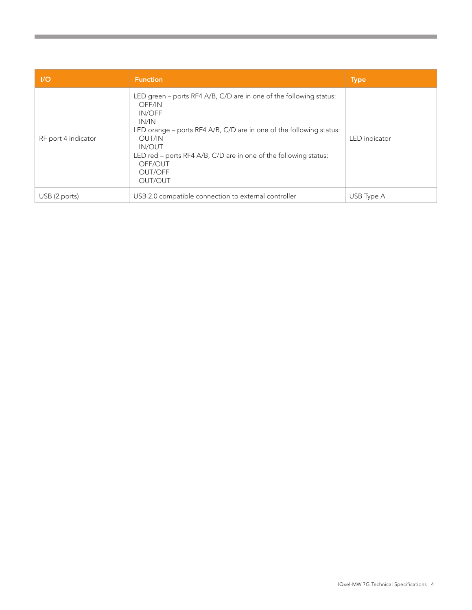| $\mathsf{I}/\mathsf{O}$ | <b>Function</b>                                                                                                                                                                                                                                                                                        | <b>Type</b>   |
|-------------------------|--------------------------------------------------------------------------------------------------------------------------------------------------------------------------------------------------------------------------------------------------------------------------------------------------------|---------------|
| RF port 4 indicator     | LED green – ports RF4 A/B, C/D are in one of the following status:<br>OFF/IN<br>IN/OFF<br>IN/IN<br>LED orange – ports RF4 A/B, C/D are in one of the following status:<br>OUT/IN<br><b>IN/OUT</b><br>LED red – ports RF4 A/B, C/D are in one of the following status:<br>OFF/OUT<br>OUT/OFF<br>OUT/OUT | LED indicator |
| USB (2 ports)           | USB 2.0 compatible connection to external controller                                                                                                                                                                                                                                                   | USB Type A    |

**Contract Contract Contract**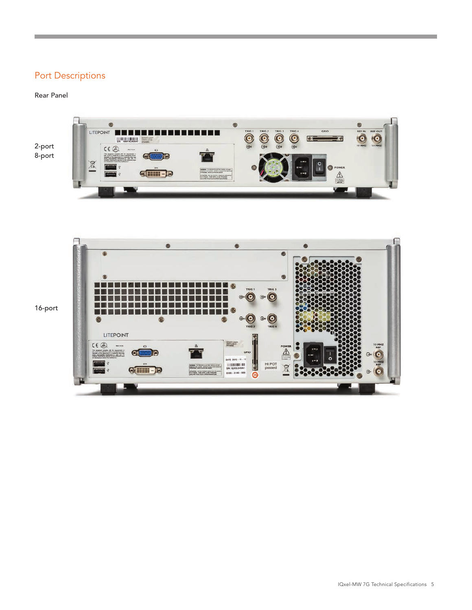### Port Descriptions

#### Rear Panel







16-port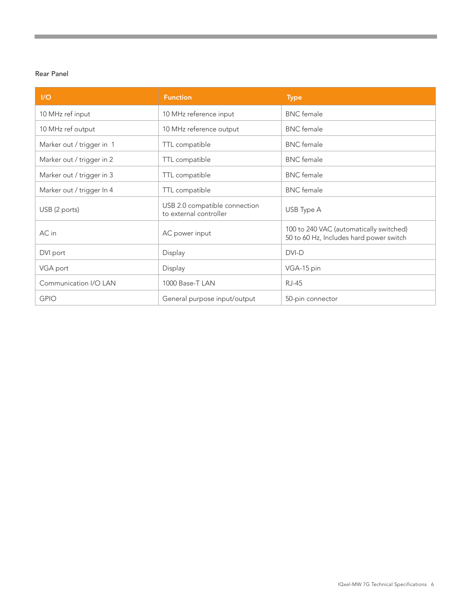#### Rear Panel

| I/O                       | <b>Function</b>                                         | <b>Type</b>                                                                        |
|---------------------------|---------------------------------------------------------|------------------------------------------------------------------------------------|
| 10 MHz ref input          | 10 MHz reference input                                  | <b>BNC</b> female                                                                  |
| 10 MHz ref output         | 10 MHz reference output                                 | <b>BNC</b> female                                                                  |
| Marker out / trigger in 1 | TTL compatible                                          | <b>BNC</b> female                                                                  |
| Marker out / trigger in 2 | TTL compatible                                          | <b>BNC</b> female                                                                  |
| Marker out / trigger in 3 | TTL compatible                                          | <b>BNC</b> female                                                                  |
| Marker out / trigger In 4 | TTL compatible                                          | <b>BNC</b> female                                                                  |
| USB (2 ports)             | USB 2.0 compatible connection<br>to external controller | USB Type A                                                                         |
| AC in                     | AC power input                                          | 100 to 240 VAC (automatically switched)<br>50 to 60 Hz, Includes hard power switch |
| DVI port                  | Display                                                 | DVI-D                                                                              |
| VGA port                  | Display                                                 | VGA-15 pin                                                                         |
| Communication I/O LAN     | 1000 Base-T LAN                                         | <b>RJ-45</b>                                                                       |
| <b>GPIO</b>               | General purpose input/output                            | 50-pin connector                                                                   |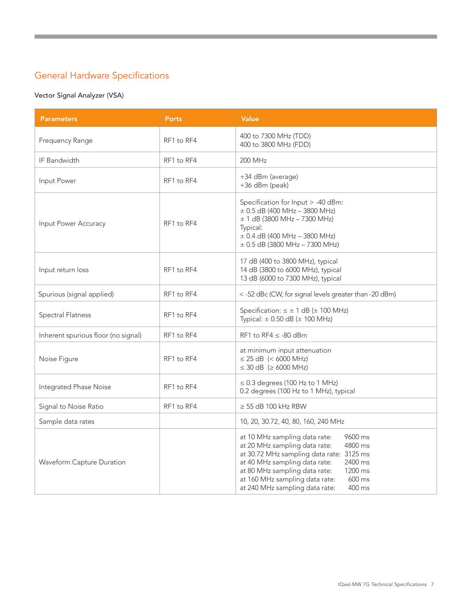### General Hardware Specifications

#### Vector Signal Analyzer (VSA)

| <b>Parameters</b>                   | <b>Ports</b> | Value                                                                                                                                                                                                                                                                                                            |
|-------------------------------------|--------------|------------------------------------------------------------------------------------------------------------------------------------------------------------------------------------------------------------------------------------------------------------------------------------------------------------------|
| Frequency Range                     | RF1 to RF4   | 400 to 7300 MHz (TDD)<br>400 to 3800 MHz (FDD)                                                                                                                                                                                                                                                                   |
| IF Bandwidth                        | RF1 to RF4   | 200 MHz                                                                                                                                                                                                                                                                                                          |
| Input Power                         | RF1 to RF4   | +34 dBm (average)<br>+36 dBm (peak)                                                                                                                                                                                                                                                                              |
| Input Power Accuracy                | RF1 to RF4   | Specification for Input > -40 dBm:<br>$\pm$ 0.5 dB (400 MHz - 3800 MHz)<br>$\pm$ 1 dB (3800 MHz - 7300 MHz)<br>Typical:<br>$\pm$ 0.4 dB (400 MHz - 3800 MHz)<br>$\pm$ 0.5 dB (3800 MHz - 7300 MHz)                                                                                                               |
| Input return loss                   | RF1 to RF4   | 17 dB (400 to 3800 MHz), typical<br>14 dB (3800 to 6000 MHz), typical<br>13 dB (6000 to 7300 MHz), typical                                                                                                                                                                                                       |
| Spurious (signal applied)           | RF1 to RF4   | < -52 dBc (CW, for signal levels greater than -20 dBm)                                                                                                                                                                                                                                                           |
| Spectral Flatness                   | RF1 to RF4   | Specification: $\leq \pm 1$ dB ( $\pm$ 100 MHz)<br>Typical: $\pm$ 0.50 dB ( $\pm$ 100 MHz)                                                                                                                                                                                                                       |
| Inherent spurious floor (no signal) | RF1 to RF4   | RF1 to RF4 $\le$ -80 dBm                                                                                                                                                                                                                                                                                         |
| Noise Figure                        | RF1 to RF4   | at minimum input attenuation<br>$\leq$ 25 dB (< 6000 MHz)<br>$\leq$ 30 dB ( $\geq$ 6000 MHz)                                                                                                                                                                                                                     |
| Integrated Phase Noise              | RF1 to RF4   | $\leq$ 0.3 degrees (100 Hz to 1 MHz)<br>0.2 degrees (100 Hz to 1 MHz), typical                                                                                                                                                                                                                                   |
| Signal to Noise Ratio               | RF1 to RF4   | $\geq$ 55 dB 100 kHz RBW                                                                                                                                                                                                                                                                                         |
| Sample data rates                   |              | 10, 20, 30.72, 40, 80, 160, 240 MHz                                                                                                                                                                                                                                                                              |
| Waveform Capture Duration           |              | at 10 MHz sampling data rate:<br>9600 ms<br>at 20 MHz sampling data rate:<br>4800 ms<br>at 30.72 MHz sampling data rate: 3125 ms<br>at 40 MHz sampling data rate:<br>2400 ms<br>at 80 MHz sampling data rate:<br>1200 ms<br>at 160 MHz sampling data rate:<br>600 ms<br>at 240 MHz sampling data rate:<br>400 ms |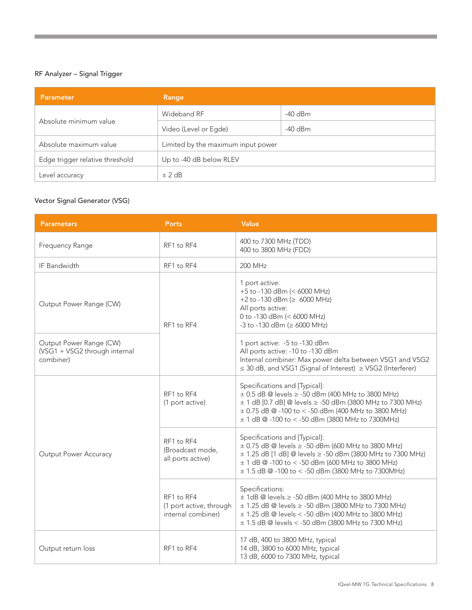#### RF Analyzer – Signal Trigger

| <b>Parameter</b>                | Range                              |           |
|---------------------------------|------------------------------------|-----------|
|                                 | Wideband RF                        | -40 dBm   |
| Absolute minimum value          | Video (Level or Egde)              | $-40$ dBm |
| Absolute maximum value          | Limited by the maximum input power |           |
| Edge trigger relative threshold | Up to -40 dB below RLEV            |           |
| Level accuracy                  | ± 2 dB                             |           |

#### Vector Signal Generator (VSG)

| <b>Parameters</b>                                                                                              | <b>Ports</b>                                                | Value                                                                                                                                                                                                                                                                               |
|----------------------------------------------------------------------------------------------------------------|-------------------------------------------------------------|-------------------------------------------------------------------------------------------------------------------------------------------------------------------------------------------------------------------------------------------------------------------------------------|
| Frequency Range                                                                                                | RF1 to RF4                                                  | 400 to 7300 MHz (TDD)<br>400 to 3800 MHz (FDD)                                                                                                                                                                                                                                      |
| IF Bandwidth                                                                                                   | RF1 to RF4                                                  | 200 MHz                                                                                                                                                                                                                                                                             |
| Output Power Range (CW)<br>RF1 to RF4<br>Output Power Range (CW)<br>(VSG1 + VSG2 through internal<br>combiner) |                                                             | 1 port active:<br>+5 to -130 dBm (< 6000 MHz)<br>+2 to -130 dBm ( $\geq$ 6000 MHz)<br>All ports active:<br>0 to -130 dBm (< 6000 MHz)<br>$-3$ to $-130$ dBm ( $\geq 6000$ MHz)                                                                                                      |
|                                                                                                                |                                                             | 1 port active: -5 to -130 dBm<br>All ports active: -10 to -130 dBm<br>Internal combiner: Max power delta between VSG1 and VSG2<br>$\leq$ 30 dB, and VSG1 (Signal of Interest) $\geq$ VSG2 (Interferer)                                                                              |
|                                                                                                                | RF1 to RF4<br>(1 port active)                               | Specifications and [Typical]:<br>$\pm$ 0.5 dB @ levels $\ge$ -50 dBm (400 MHz to 3800 MHz)<br>± 1 dB [0.7 dB] @ levels ≥ -50 dBm (3800 MHz to 7300 MHz)<br>$\pm$ 0.75 dB @ -100 to < -50 dBm (400 MHz to 3800 MHz)<br>$\pm$ 1 dB @ -100 to < -50 dBm (3800 MHz to 7300MHz)          |
| <b>Output Power Accuracy</b>                                                                                   | RF1 to RF4<br>(Broadcast mode,<br>all ports active)         | Specifications and [Typical]:<br>$\pm$ 0.75 dB @ levels $\ge$ -50 dBm (600 MHz to 3800 MHz)<br>$\pm$ 1.25 dB [1 dB] @ levels $\ge$ -50 dBm (3800 MHz to 7300 MHz)<br>$\pm$ 1 dB @ -100 to < -50 dBm (600 MHz to 3800 MHz)<br>$\pm$ 1.5 dB @ -100 to < -50 dBm (3800 MHz to 7300MHz) |
|                                                                                                                | RF1 to RF4<br>(1 port active, through<br>internal combiner) | Specifications:<br>$\pm$ 1dB @ levels $\ge$ -50 dBm (400 MHz to 3800 MHz)<br>$\pm$ 1.25 dB @ levels $\ge$ -50 dBm (3800 MHz to 7300 MHz)<br>$\pm$ 1.25 dB @ levels < -50 dBm (400 MHz to 3800 MHz)<br>± 1.5 dB @ levels < -50 dBm (3800 MHz to 7300 MHz)                            |
| Output return loss                                                                                             | RF1 to RF4                                                  | 17 dB, 400 to 3800 MHz, typical<br>14 dB, 3800 to 6000 MHz, typical<br>13 dB, 6000 to 7300 MHz, typical                                                                                                                                                                             |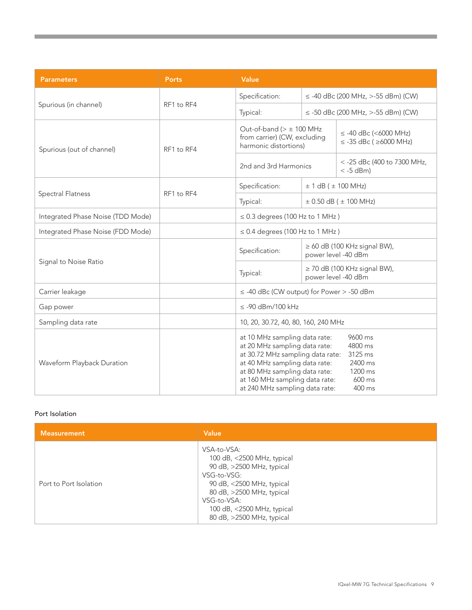| <b>Parameters</b>                 | Ports      | Value                                                                                                                                                                                                                                    |                                        |                                                                         |
|-----------------------------------|------------|------------------------------------------------------------------------------------------------------------------------------------------------------------------------------------------------------------------------------------------|----------------------------------------|-------------------------------------------------------------------------|
|                                   | RF1 to RF4 | Specification:                                                                                                                                                                                                                           | $\le$ -40 dBc (200 MHz, >-55 dBm) (CW) |                                                                         |
| Spurious (in channel)             |            | Typical:                                                                                                                                                                                                                                 |                                        | $\le$ -50 dBc (200 MHz, >-55 dBm) (CW)                                  |
| Spurious (out of channel)         | RF1 to RF4 | Out-of-band ( $> \pm 100$ MHz<br>from carrier) (CW, excluding<br>harmonic distortions)                                                                                                                                                   |                                        | $\le$ -40 dBc (<6000 MHz)<br>$\le$ -35 dBc ( $\ge$ 6000 MHz)            |
|                                   |            | 2nd and 3rd Harmonics                                                                                                                                                                                                                    |                                        | < -25 dBc (400 to 7300 MHz,<br>$< -5$ dBm)                              |
|                                   |            | Specification:                                                                                                                                                                                                                           |                                        | $\pm$ 1 dB ( $\pm$ 100 MHz)                                             |
| <b>Spectral Flatness</b>          | RF1 to RF4 | Typical:                                                                                                                                                                                                                                 | $\pm$ 0.50 dB ( $\pm$ 100 MHz)         |                                                                         |
| Integrated Phase Noise (TDD Mode) |            | $\leq$ 0.3 degrees (100 Hz to 1 MHz)                                                                                                                                                                                                     |                                        |                                                                         |
| Integrated Phase Noise (FDD Mode) |            | $\leq$ 0.4 degrees (100 Hz to 1 MHz)                                                                                                                                                                                                     |                                        |                                                                         |
|                                   |            | Specification:                                                                                                                                                                                                                           |                                        | $\geq 60$ dB (100 KHz signal BW),<br>power level -40 dBm                |
| Signal to Noise Ratio             |            | Typical:                                                                                                                                                                                                                                 |                                        | $\geq$ 70 dB (100 KHz signal BW),<br>power level -40 dBm                |
| Carrier leakage                   |            | $\le$ -40 dBc (CW output) for Power > -50 dBm                                                                                                                                                                                            |                                        |                                                                         |
| Gap power                         |            | $\leq$ -90 dBm/100 kHz                                                                                                                                                                                                                   |                                        |                                                                         |
| Sampling data rate                |            | 10, 20, 30.72, 40, 80, 160, 240 MHz                                                                                                                                                                                                      |                                        |                                                                         |
| Waveform Playback Duration        |            | at 10 MHz sampling data rate:<br>at 20 MHz sampling data rate:<br>at 30.72 MHz sampling data rate:<br>at 40 MHz sampling data rate:<br>at 80 MHz sampling data rate:<br>at 160 MHz sampling data rate:<br>at 240 MHz sampling data rate: |                                        | 9600 ms<br>4800 ms<br>3125 ms<br>2400 ms<br>1200 ms<br>600 ms<br>400 ms |

#### Port Isolation

| <b>Measurement</b>     | Value                                                                                                                                                                                                                     |
|------------------------|---------------------------------------------------------------------------------------------------------------------------------------------------------------------------------------------------------------------------|
| Port to Port Isolation | VSA-to-VSA:<br>100 dB, <2500 MHz, typical<br>90 dB, >2500 MHz, typical<br>VSG-to-VSG:<br>90 dB, <2500 MHz, typical<br>80 dB, >2500 MHz, typical<br>VSG-to-VSA:<br>100 dB, <2500 MHz, typical<br>80 dB, >2500 MHz, typical |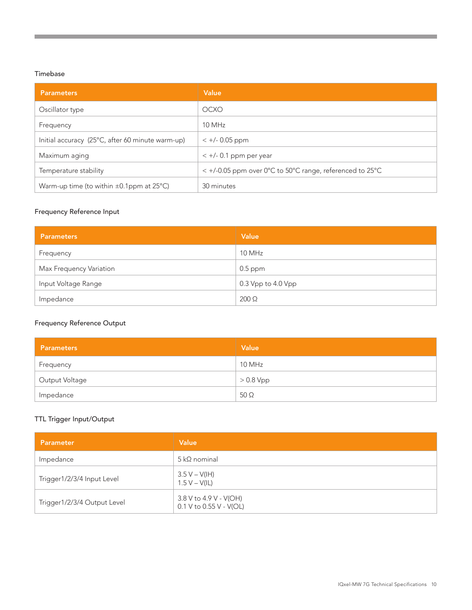#### Timebase

| <b>Parameters</b>                                         | Value                                                             |
|-----------------------------------------------------------|-------------------------------------------------------------------|
| Oscillator type                                           | OCXO                                                              |
| Frequency                                                 | 10 MHz                                                            |
| Initial accuracy (25°C, after 60 minute warm-up)          | $< +/- 0.05$ ppm                                                  |
| Maximum aging                                             | $< +/- 0.1$ ppm per year                                          |
| Temperature stability                                     | $\epsilon$ +/-0.05 ppm over 0°C to 50°C range, referenced to 25°C |
| Warm-up time (to within $\pm 0.1$ ppm at 25 $^{\circ}$ C) | 30 minutes                                                        |

#### Frequency Reference Input

| <b>Parameters</b>       | Value              |
|-------------------------|--------------------|
| Frequency               | 10 MHz             |
| Max Frequency Variation | $0.5$ ppm          |
| Input Voltage Range     | 0.3 Vpp to 4.0 Vpp |
| Impedance               | $200 \Omega$       |

#### Frequency Reference Output

| <b>Parameters</b> | Value      |
|-------------------|------------|
| Frequency         | 10 MHz     |
| Output Voltage    | $>0.8$ Vpp |
| Impedance         | $50\Omega$ |

#### TTL Trigger Input/Output

| Parameter                   | Value                                                 |
|-----------------------------|-------------------------------------------------------|
| Impedance                   | $5 \, \text{k}\Omega$ nominal                         |
| Trigger1/2/3/4 Input Level  | $3.5 V - V(H)$<br>$1.5 V - V(IL)$                     |
| Trigger1/2/3/4 Output Level | 3.8 V to 4.9 V - V(OH)<br>$0.1$ V to $0.55$ V - V(OL) |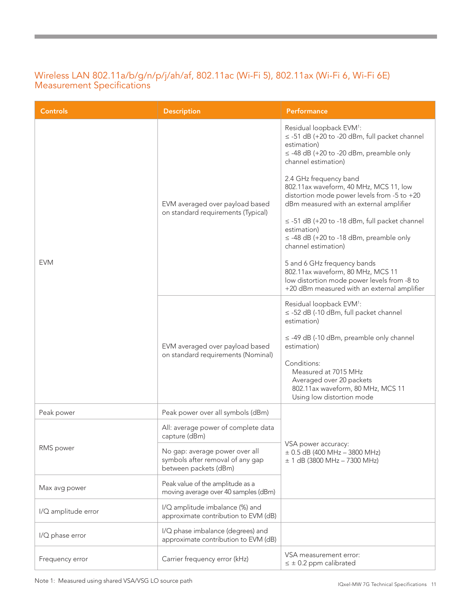#### Wireless LAN 802.11a/b/g/n/p/j/ah/af, 802.11ac (Wi-Fi 5), 802.11ax (Wi-Fi 6, Wi-Fi 6E) Measurement Specifications

| <b>Controls</b>     | <b>Description</b>                                                                                                                                                                                                                          | <b>Performance</b>                                                                                                                                                             |
|---------------------|---------------------------------------------------------------------------------------------------------------------------------------------------------------------------------------------------------------------------------------------|--------------------------------------------------------------------------------------------------------------------------------------------------------------------------------|
| <b>EVM</b>          | EVM averaged over payload based<br>on standard requirements (Typical)                                                                                                                                                                       | Residual loopback EVM <sup>1</sup> :<br>$\le$ -51 dB (+20 to -20 dBm, full packet channel<br>estimation)<br>$\le$ -48 dB (+20 to -20 dBm, preamble only<br>channel estimation) |
|                     |                                                                                                                                                                                                                                             | 2.4 GHz frequency band<br>802.11ax waveform, 40 MHz, MCS 11, low<br>distortion mode power levels from -5 to +20<br>dBm measured with an external amplifier                     |
|                     |                                                                                                                                                                                                                                             | $\le$ -51 dB (+20 to -18 dBm, full packet channel<br>estimation)<br>$\le$ -48 dB (+20 to -18 dBm, preamble only<br>channel estimation)                                         |
|                     |                                                                                                                                                                                                                                             | 5 and 6 GHz frequency bands<br>802.11ax waveform, 80 MHz, MCS 11<br>low distortion mode power levels from -8 to<br>+20 dBm measured with an external amplifier                 |
|                     | Residual loopback EVM <sup>1</sup> :<br>estimation)<br>EVM averaged over payload based<br>estimation)<br>on standard requirements (Nominal)<br>Conditions:<br>Measured at 7015 MHz<br>Averaged over 20 packets<br>Using low distortion mode | $\le$ -52 dB (-10 dBm, full packet channel                                                                                                                                     |
|                     |                                                                                                                                                                                                                                             | $\le$ -49 dB (-10 dBm, preamble only channel                                                                                                                                   |
|                     |                                                                                                                                                                                                                                             | 802.11ax waveform, 80 MHz, MCS 11                                                                                                                                              |
| Peak power          | Peak power over all symbols (dBm)                                                                                                                                                                                                           |                                                                                                                                                                                |
| RMS power           | All: average power of complete data<br>capture (dBm)                                                                                                                                                                                        | VSA power accuracy:<br>$\pm$ 0.5 dB (400 MHz - 3800 MHz)<br>$\pm$ 1 dB (3800 MHz – 7300 MHz)                                                                                   |
|                     | No gap: average power over all<br>symbols after removal of any gap<br>between packets (dBm)                                                                                                                                                 |                                                                                                                                                                                |
| Max avg power       | Peak value of the amplitude as a<br>moving average over 40 samples (dBm)                                                                                                                                                                    |                                                                                                                                                                                |
| I/Q amplitude error | I/Q amplitude imbalance (%) and<br>approximate contribution to EVM (dB)                                                                                                                                                                     |                                                                                                                                                                                |
| I/Q phase error     | I/Q phase imbalance (degrees) and<br>approximate contribution to EVM (dB)                                                                                                                                                                   |                                                                                                                                                                                |
| Frequency error     | Carrier frequency error (kHz)                                                                                                                                                                                                               | VSA measurement error:<br>$\leq \pm 0.2$ ppm calibrated                                                                                                                        |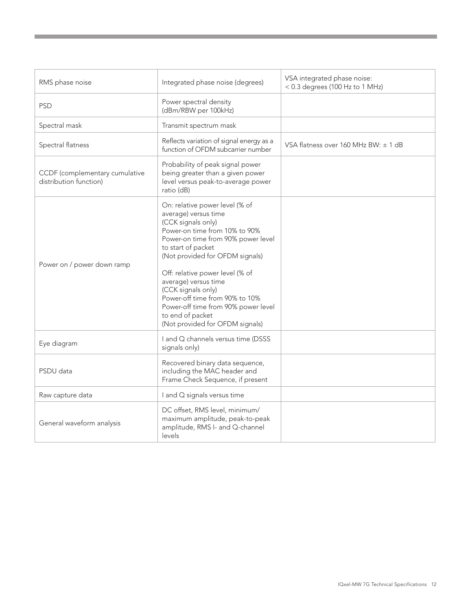| RMS phase noise                                          | Integrated phase noise (degrees)                                                                                                                                                                                                                                                                                                                                                                                              | VSA integrated phase noise:<br>< 0.3 degrees (100 Hz to 1 MHz) |
|----------------------------------------------------------|-------------------------------------------------------------------------------------------------------------------------------------------------------------------------------------------------------------------------------------------------------------------------------------------------------------------------------------------------------------------------------------------------------------------------------|----------------------------------------------------------------|
| <b>PSD</b>                                               | Power spectral density<br>(dBm/RBW per 100kHz)                                                                                                                                                                                                                                                                                                                                                                                |                                                                |
| Spectral mask                                            | Transmit spectrum mask                                                                                                                                                                                                                                                                                                                                                                                                        |                                                                |
| Spectral flatness                                        | Reflects variation of signal energy as a<br>function of OFDM subcarrier number                                                                                                                                                                                                                                                                                                                                                | VSA flatness over 160 MHz BW: ± 1 dB                           |
| CCDF (complementary cumulative<br>distribution function) | Probability of peak signal power<br>being greater than a given power<br>level versus peak-to-average power<br>ratio (dB)                                                                                                                                                                                                                                                                                                      |                                                                |
| Power on / power down ramp                               | On: relative power level (% of<br>average) versus time<br>(CCK signals only)<br>Power-on time from 10% to 90%<br>Power-on time from 90% power level<br>to start of packet<br>(Not provided for OFDM signals)<br>Off: relative power level (% of<br>average) versus time<br>(CCK signals only)<br>Power-off time from 90% to 10%<br>Power-off time from 90% power level<br>to end of packet<br>(Not provided for OFDM signals) |                                                                |
| Eye diagram                                              | I and Q channels versus time (DSSS<br>signals only)                                                                                                                                                                                                                                                                                                                                                                           |                                                                |
| PSDU data                                                | Recovered binary data sequence,<br>including the MAC header and<br>Frame Check Sequence, if present                                                                                                                                                                                                                                                                                                                           |                                                                |
| Raw capture data                                         | I and Q signals versus time                                                                                                                                                                                                                                                                                                                                                                                                   |                                                                |
| General waveform analysis                                | DC offset, RMS level, minimum/<br>maximum amplitude, peak-to-peak<br>amplitude, RMS I- and Q-channel<br>levels                                                                                                                                                                                                                                                                                                                |                                                                |

,我们也不会有什么。""我们的人,我们也不会有什么?""我们的人,我们也不会有什么?""我们的人,我们也不会有什么?""我们的人,我们也不会有什么?""我们的人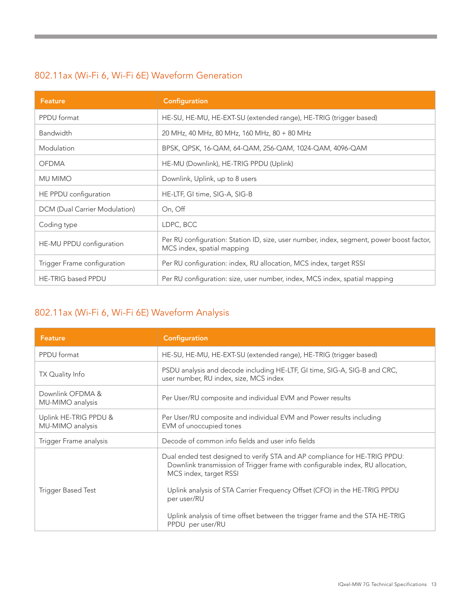### 802.11ax (Wi-Fi 6, Wi-Fi 6E) Waveform Generation

| <b>Feature</b>                | Configuration                                                                                                          |
|-------------------------------|------------------------------------------------------------------------------------------------------------------------|
| PPDU format                   | HE-SU, HE-MU, HE-EXT-SU (extended range), HE-TRIG (trigger based)                                                      |
| Bandwidth                     | 20 MHz, 40 MHz, 80 MHz, 160 MHz, 80 + 80 MHz                                                                           |
| Modulation                    | BPSK, QPSK, 16-QAM, 64-QAM, 256-QAM, 1024-QAM, 4096-QAM                                                                |
| <b>OFDMA</b>                  | HE-MU (Downlink), HE-TRIG PPDU (Uplink)                                                                                |
| <b>MU MIMO</b>                | Downlink, Uplink, up to 8 users                                                                                        |
| HE PPDU configuration         | HE-LTF, GI time, SIG-A, SIG-B                                                                                          |
| DCM (Dual Carrier Modulation) | On, Off                                                                                                                |
| Coding type                   | LDPC, BCC                                                                                                              |
| HE-MU PPDU configuration      | Per RU configuration: Station ID, size, user number, index, segment, power boost factor,<br>MCS index, spatial mapping |
| Trigger Frame configuration   | Per RU configuration: index, RU allocation, MCS index, target RSSI                                                     |
| <b>HE-TRIG based PPDU</b>     | Per RU configuration: size, user number, index, MCS index, spatial mapping                                             |

### 802.11ax (Wi-Fi 6, Wi-Fi 6E) Waveform Analysis

| <b>Feature</b>                            | Configuration                                                                                                                                                                                                                                                                                                                                                                          |
|-------------------------------------------|----------------------------------------------------------------------------------------------------------------------------------------------------------------------------------------------------------------------------------------------------------------------------------------------------------------------------------------------------------------------------------------|
| PPDU format                               | HE-SU, HE-MU, HE-EXT-SU (extended range), HE-TRIG (trigger based)                                                                                                                                                                                                                                                                                                                      |
| TX Quality Info                           | PSDU analysis and decode including HE-LTF, GI time, SIG-A, SIG-B and CRC,<br>user number, RU index, size, MCS index                                                                                                                                                                                                                                                                    |
| Downlink OFDMA &<br>MU-MIMO analysis      | Per User/RU composite and individual EVM and Power results                                                                                                                                                                                                                                                                                                                             |
| Uplink HE-TRIG PPDU &<br>MU-MIMO analysis | Per User/RU composite and individual EVM and Power results including<br>EVM of unoccupied tones                                                                                                                                                                                                                                                                                        |
| Trigger Frame analysis                    | Decode of common info fields and user info fields                                                                                                                                                                                                                                                                                                                                      |
| Trigger Based Test                        | Dual ended test designed to verify STA and AP compliance for HE-TRIG PPDU:<br>Downlink transmission of Trigger frame with configurable index, RU allocation,<br>MCS index, target RSSI<br>Uplink analysis of STA Carrier Frequency Offset (CFO) in the HE-TRIG PPDU<br>per user/RU<br>Uplink analysis of time offset between the trigger frame and the STA HE-TRIG<br>PPDU per user/RU |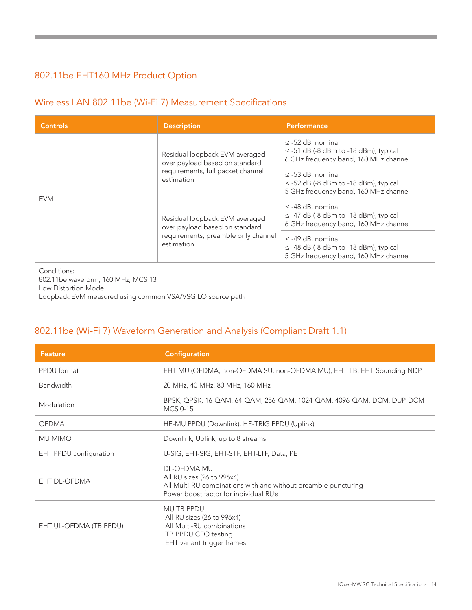### 802.11be EHT160 MHz Product Option

### Wireless LAN 802.11be (Wi-Fi 7) Measurement Specifications

| <b>Controls</b>                                                                                                                       | <b>Description</b>                                                                                                    | <b>Performance</b>                                                                                           |
|---------------------------------------------------------------------------------------------------------------------------------------|-----------------------------------------------------------------------------------------------------------------------|--------------------------------------------------------------------------------------------------------------|
| <b>EVM</b>                                                                                                                            | Residual loopback EVM averaged<br>over payload based on standard<br>requirements, full packet channel<br>estimation   | $\le$ -52 dB, nominal<br>$\le$ -51 dB (-8 dBm to -18 dBm), typical<br>6 GHz frequency band, 160 MHz channel  |
|                                                                                                                                       |                                                                                                                       | $\le$ -53 dB, nominal<br>$\le$ -52 dB (-8 dBm to -18 dBm), typical<br>5 GHz frequency band, 160 MHz channel  |
|                                                                                                                                       | Residual loopback EVM averaged<br>over payload based on standard<br>requirements, preamble only channel<br>estimation | $\le$ -48 dB, nominal<br>$\le$ -47 dB (-8 dBm to -18 dBm), typical<br>6 GHz frequency band, 160 MHz channel  |
|                                                                                                                                       |                                                                                                                       | $\leq$ -49 dB, nominal<br>$\le$ -48 dB (-8 dBm to -18 dBm), typical<br>5 GHz frequency band, 160 MHz channel |
| Conditions:<br>802.11be waveform, 160 MHz, MCS 13<br>Low Distortion Mode<br>Loopback EVM measured using common VSA/VSG LO source path |                                                                                                                       |                                                                                                              |

#### 802.11be (Wi-Fi 7) Waveform Generation and Analysis (Compliant Draft 1.1)

| <b>Feature</b>         | Configuration                                                                                                                                                |
|------------------------|--------------------------------------------------------------------------------------------------------------------------------------------------------------|
| PPDU format            | EHT MU (OFDMA, non-OFDMA SU, non-OFDMA MU), EHT TB, EHT Sounding NDP                                                                                         |
| <b>Bandwidth</b>       | 20 MHz, 40 MHz, 80 MHz, 160 MHz                                                                                                                              |
| Modulation             | BPSK, QPSK, 16-QAM, 64-QAM, 256-QAM, 1024-QAM, 4096-QAM, DCM, DUP-DCM<br>MCS 0-15                                                                            |
| <b>OFDMA</b>           | HE-MU PPDU (Downlink), HE-TRIG PPDU (Uplink)                                                                                                                 |
| <b>MU MIMO</b>         | Downlink, Uplink, up to 8 streams                                                                                                                            |
| EHT PPDU configuration | U-SIG, EHT-SIG, EHT-STF, EHT-LTF, Data, PE                                                                                                                   |
| <b>EHT DL-OFDMA</b>    | <b>DL-OFDMA MU</b><br>All RU sizes (26 to 996x4)<br>All Multi-RU combinations with and without preamble puncturing<br>Power boost factor for individual RU's |
| EHT UL-OFDMA (TB PPDU) | <b>MU TB PPDU</b><br>All RU sizes (26 to 996x4)<br>All Multi-RU combinations<br>TB PPDU CFO testing<br>EHT variant trigger frames                            |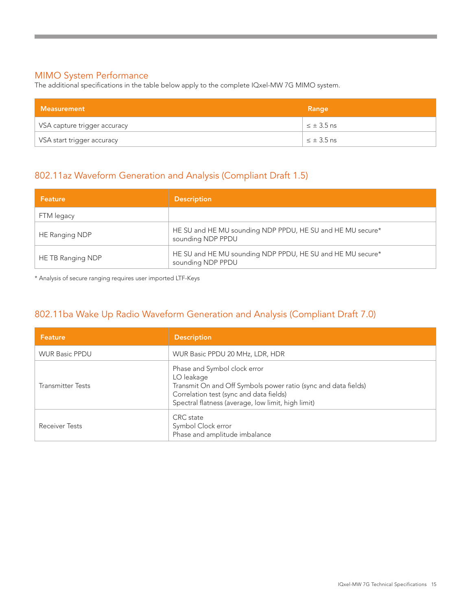#### MIMO System Performance

The additional specifications in the table below apply to the complete IQxel-MW 7G MIMO system.

| Measurement                  | Range             |
|------------------------------|-------------------|
| VSA capture trigger accuracy | $\leq \pm 3.5$ ns |
| VSA start trigger accuracy   | $\leq \pm 3.5$ ns |

#### 802.11az Waveform Generation and Analysis (Compliant Draft 1.5)

| l Feature i       | <b>Description</b>                                                              |
|-------------------|---------------------------------------------------------------------------------|
| FTM legacy        |                                                                                 |
| HE Ranging NDP    | HE SU and HE MU sounding NDP PPDU, HE SU and HE MU secure*<br>sounding NDP PPDU |
| HE TB Ranging NDP | HE SU and HE MU sounding NDP PPDU, HE SU and HE MU secure*<br>sounding NDP PPDU |

\* Analysis of secure ranging requires user imported LTF-Keys

### 802.11ba Wake Up Radio Waveform Generation and Analysis (Compliant Draft 7.0)

| <b>Feature</b>           | <b>Description</b>                                                                                                                                                                                            |
|--------------------------|---------------------------------------------------------------------------------------------------------------------------------------------------------------------------------------------------------------|
| <b>WUR Basic PPDU</b>    | WUR Basic PPDU 20 MHz, LDR, HDR                                                                                                                                                                               |
| <b>Transmitter Tests</b> | Phase and Symbol clock error<br>LO leakage<br>Transmit On and Off Symbols power ratio (sync and data fields)<br>Correlation test (sync and data fields)<br>Spectral flatness (average, low limit, high limit) |
| <b>Receiver Tests</b>    | CRC state<br>Symbol Clock error<br>Phase and amplitude imbalance                                                                                                                                              |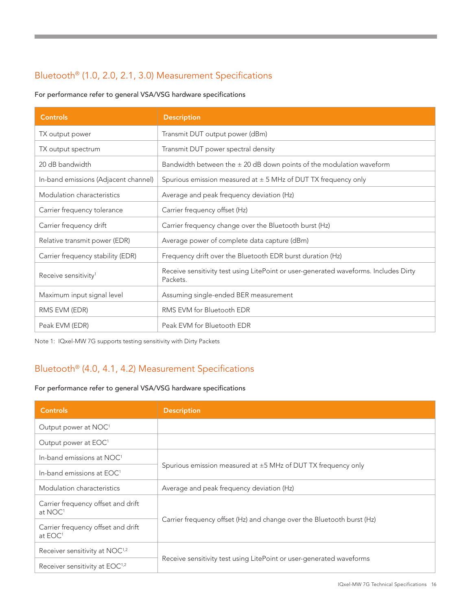### Bluetooth® (1.0, 2.0, 2.1, 3.0) Measurement Specifications

For performance refer to general VSA/VSG hardware specifications

| <b>Controls</b>                      | <b>Description</b>                                                                               |
|--------------------------------------|--------------------------------------------------------------------------------------------------|
| TX output power                      | Transmit DUT output power (dBm)                                                                  |
| TX output spectrum                   | Transmit DUT power spectral density                                                              |
| 20 dB bandwidth                      | Bandwidth between the $\pm$ 20 dB down points of the modulation waveform                         |
| In-band emissions (Adjacent channel) | Spurious emission measured at $\pm$ 5 MHz of DUT TX frequency only                               |
| Modulation characteristics           | Average and peak frequency deviation (Hz)                                                        |
| Carrier frequency tolerance          | Carrier frequency offset (Hz)                                                                    |
| Carrier frequency drift              | Carrier frequency change over the Bluetooth burst (Hz)                                           |
| Relative transmit power (EDR)        | Average power of complete data capture (dBm)                                                     |
| Carrier frequency stability (EDR)    | Frequency drift over the Bluetooth EDR burst duration (Hz)                                       |
| Receive sensitivity <sup>1</sup>     | Receive sensitivity test using LitePoint or user-generated waveforms. Includes Dirty<br>Packets. |
| Maximum input signal level           | Assuming single-ended BER measurement                                                            |
| RMS EVM (EDR)                        | RMS EVM for Bluetooth EDR                                                                        |
| Peak EVM (EDR)                       | Peak EVM for Bluetooth EDR                                                                       |

Note 1: IQxel-MW 7G supports testing sensitivity with Dirty Packets

### Bluetooth® (4.0, 4.1, 4.2) Measurement Specifications

For performance refer to general VSA/VSG hardware specifications

| <b>Controls</b>                                           | <b>Description</b>                                                     |
|-----------------------------------------------------------|------------------------------------------------------------------------|
| Output power at NOC <sup>1</sup>                          |                                                                        |
| Output power at EOC <sup>1</sup>                          |                                                                        |
| In-band emissions at NOC <sup>1</sup>                     | Spurious emission measured at $\pm$ 5 MHz of DUT TX frequency only     |
| In-band emissions at EOC <sup>1</sup>                     |                                                                        |
| Modulation characteristics                                | Average and peak frequency deviation (Hz)                              |
| Carrier frequency offset and drift<br>at NOC <sup>1</sup> | Carrier frequency offset (Hz) and change over the Bluetooth burst (Hz) |
| Carrier frequency offset and drift<br>at EOC <sup>1</sup> |                                                                        |
| Receiver sensitivity at NOC <sup>1,2</sup>                | Receive sensitivity test using LitePoint or user-generated waveforms   |
| Receiver sensitivity at EOC <sup>1,2</sup>                |                                                                        |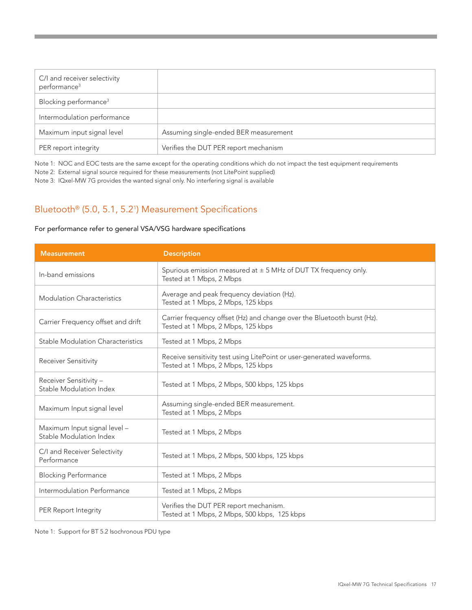| C/I and receiver selectivity<br>performance <sup>3</sup> |                                       |
|----------------------------------------------------------|---------------------------------------|
| Blocking performance <sup>3</sup>                        |                                       |
| Intermodulation performance                              |                                       |
| Maximum input signal level                               | Assuming single-ended BER measurement |
| PER report integrity                                     | Verifies the DUT PER report mechanism |

Note 1: NOC and EOC tests are the same except for the operating conditions which do not impact the test equipment requirements

Note 2: External signal source required for these measurements (not LitePoint supplied)

Note 3: IQxel-MW 7G provides the wanted signal only. No interfering signal is available

#### Bluetooth® (5.0, 5.1, 5.21 ) Measurement Specifications

#### For performance refer to general VSA/VSG hardware specifications

| <b>Measurement</b>                                      | <b>Description</b>                                                                                            |
|---------------------------------------------------------|---------------------------------------------------------------------------------------------------------------|
| In-band emissions                                       | Spurious emission measured at $\pm$ 5 MHz of DUT TX frequency only.<br>Tested at 1 Mbps, 2 Mbps               |
| <b>Modulation Characteristics</b>                       | Average and peak frequency deviation (Hz).<br>Tested at 1 Mbps, 2 Mbps, 125 kbps                              |
| Carrier Frequency offset and drift                      | Carrier frequency offset (Hz) and change over the Bluetooth burst (Hz).<br>Tested at 1 Mbps, 2 Mbps, 125 kbps |
| Stable Modulation Characteristics                       | Tested at 1 Mbps, 2 Mbps                                                                                      |
| <b>Receiver Sensitivity</b>                             | Receive sensitivity test using LitePoint or user-generated waveforms.<br>Tested at 1 Mbps, 2 Mbps, 125 kbps   |
| Receiver Sensitivity -<br>Stable Modulation Index       | Tested at 1 Mbps, 2 Mbps, 500 kbps, 125 kbps                                                                  |
| Maximum Input signal level                              | Assuming single-ended BER measurement.<br>Tested at 1 Mbps, 2 Mbps                                            |
| Maximum Input signal level -<br>Stable Modulation Index | Tested at 1 Mbps, 2 Mbps                                                                                      |
| C/I and Receiver Selectivity<br>Performance             | Tested at 1 Mbps, 2 Mbps, 500 kbps, 125 kbps                                                                  |
| <b>Blocking Performance</b>                             | Tested at 1 Mbps, 2 Mbps                                                                                      |
| Intermodulation Performance                             | Tested at 1 Mbps, 2 Mbps                                                                                      |
| PER Report Integrity                                    | Verifies the DUT PER report mechanism.<br>Tested at 1 Mbps, 2 Mbps, 500 kbps, 125 kbps                        |

Note 1: Support for BT 5.2 Isochronous PDU type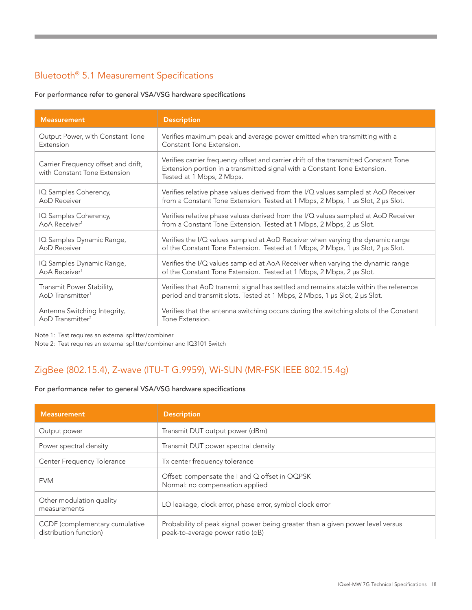### Bluetooth® 5.1 Measurement Specifications

For performance refer to general VSA/VSG hardware specifications

| <b>Measurement</b>                                                  | <b>Description</b>                                                                                                                                                                             |
|---------------------------------------------------------------------|------------------------------------------------------------------------------------------------------------------------------------------------------------------------------------------------|
| Output Power, with Constant Tone                                    | Verifies maximum peak and average power emitted when transmitting with a                                                                                                                       |
| Extension                                                           | Constant Tone Extension.                                                                                                                                                                       |
| Carrier Frequency offset and drift,<br>with Constant Tone Extension | Verifies carrier frequency offset and carrier drift of the transmitted Constant Tone<br>Extension portion in a transmitted signal with a Constant Tone Extension.<br>Tested at 1 Mbps, 2 Mbps. |
| IQ Samples Coherency,                                               | Verifies relative phase values derived from the I/Q values sampled at AoD Receiver                                                                                                             |
| AoD Receiver                                                        | from a Constant Tone Extension. Tested at 1 Mbps, 2 Mbps, 1 µs Slot, 2 µs Slot.                                                                                                                |
| IQ Samples Coherency,                                               | Verifies relative phase values derived from the I/Q values sampled at AoD Receiver                                                                                                             |
| AoA Receiver <sup>1</sup>                                           | from a Constant Tone Extension. Tested at 1 Mbps, 2 Mbps, 2 µs Slot.                                                                                                                           |
| IQ Samples Dynamic Range,                                           | Verifies the I/Q values sampled at AoD Receiver when varying the dynamic range                                                                                                                 |
| AoD Receiver                                                        | of the Constant Tone Extension. Tested at 1 Mbps, 2 Mbps, 1 µs Slot, 2 µs Slot.                                                                                                                |
| IQ Samples Dynamic Range,                                           | Verifies the I/Q values sampled at AoA Receiver when varying the dynamic range                                                                                                                 |
| AoA Receiver <sup>1</sup>                                           | of the Constant Tone Extension. Tested at 1 Mbps, 2 Mbps, 2 µs Slot.                                                                                                                           |
| Transmit Power Stability,                                           | Verifies that AoD transmit signal has settled and remains stable within the reference                                                                                                          |
| AoD Transmitter <sup>1</sup>                                        | period and transmit slots. Tested at 1 Mbps, 2 Mbps, 1 µs Slot, 2 µs Slot.                                                                                                                     |
| Antenna Switching Integrity,                                        | Verifies that the antenna switching occurs during the switching slots of the Constant                                                                                                          |
| AoD Transmitter <sup>2</sup>                                        | Tone Extension.                                                                                                                                                                                |

Note 1: Test requires an external splitter/combiner

Note 2: Test requires an external splitter/combiner and IQ3101 Switch

#### ZigBee (802.15.4), Z-wave (ITU-T G.9959), Wi-SUN (MR-FSK IEEE 802.15.4g)

#### For performance refer to general VSA/VSG hardware specifications

| <b>Measurement</b>                                       | <b>Description</b>                                                                                                 |  |
|----------------------------------------------------------|--------------------------------------------------------------------------------------------------------------------|--|
| Output power                                             | Transmit DUT output power (dBm)                                                                                    |  |
| Power spectral density                                   | Transmit DUT power spectral density                                                                                |  |
| Center Frequency Tolerance                               | Tx center frequency tolerance                                                                                      |  |
| <b>EVM</b>                                               | Offset: compensate the I and Q offset in OQPSK<br>Normal: no compensation applied                                  |  |
| Other modulation quality<br>measurements                 | LO leakage, clock error, phase error, symbol clock error                                                           |  |
| CCDF (complementary cumulative<br>distribution function) | Probability of peak signal power being greater than a given power level versus<br>peak-to-average power ratio (dB) |  |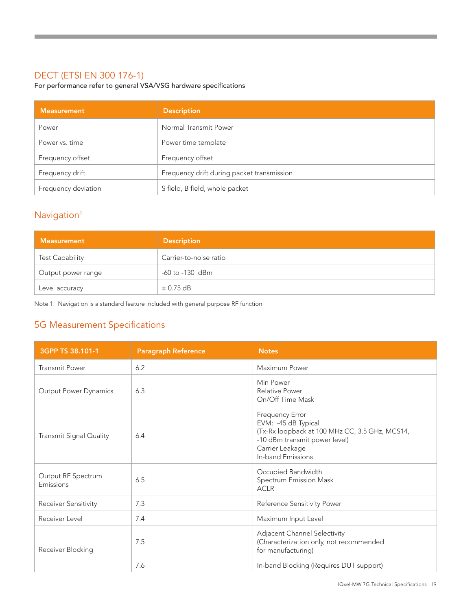#### DECT (ETSI EN 300 176-1)

For performance refer to general VSA/VSG hardware specifications

| <b>Measurement</b>  | <b>Description</b>                         |
|---------------------|--------------------------------------------|
| Power               | Normal Transmit Power                      |
| Power vs. time      | Power time template                        |
| Frequency offset    | Frequency offset                           |
| Frequency drift     | Frequency drift during packet transmission |
| Frequency deviation | S field, B field, whole packet             |

#### Navigation<sup>1</sup>

| Measurement            | <b>Description</b>     |
|------------------------|------------------------|
| <b>Test Capability</b> | Carrier-to-noise ratio |
| Output power range     | -60 to -130 dBm        |
| Level accuracy         | $\pm$ 0.75 dB          |

Note 1: Navigation is a standard feature included with general purpose RF function

### 5G Measurement Specifications

| 3GPP TS 38.101-1                | <b>Paragraph Reference</b> | <b>Notes</b>                                                                                                                                                      |
|---------------------------------|----------------------------|-------------------------------------------------------------------------------------------------------------------------------------------------------------------|
| <b>Transmit Power</b>           | 6.2                        | Maximum Power                                                                                                                                                     |
| Output Power Dynamics           | 6.3                        | Min Power<br><b>Relative Power</b><br>On/Off Time Mask                                                                                                            |
| Transmit Signal Quality         | 6.4                        | Frequency Error<br>EVM: -45 dB Typical<br>(Tx-Rx loopback at 100 MHz CC, 3.5 GHz, MCS14,<br>-10 dBm transmit power level)<br>Carrier Leakage<br>In-band Emissions |
| Output RF Spectrum<br>Emissions | 6.5                        | Occupied Bandwidth<br>Spectrum Emission Mask<br><b>ACLR</b>                                                                                                       |
| Receiver Sensitivity            | 7.3                        | Reference Sensitivity Power                                                                                                                                       |
| Receiver Level                  | 7.4                        | Maximum Input Level                                                                                                                                               |
| Receiver Blocking               | 7.5                        | Adjacent Channel Selectivity<br>(Characterization only, not recommended<br>for manufacturing)                                                                     |
|                                 | 7.6                        | In-band Blocking (Requires DUT support)                                                                                                                           |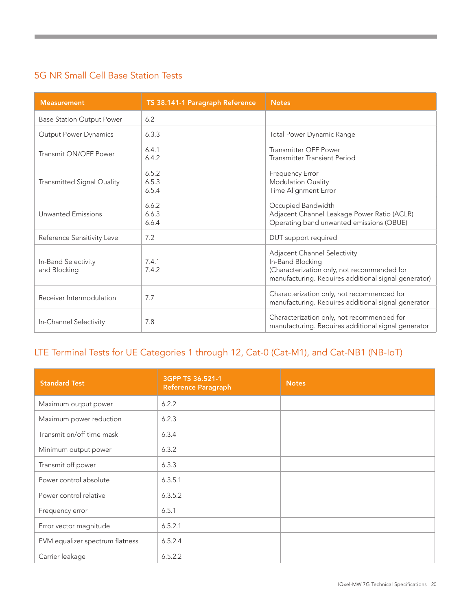### 5G NR Small Cell Base Station Tests

| <b>Measurement</b>                  | TS 38.141-1 Paragraph Reference | <b>Notes</b>                                                                                                                                            |
|-------------------------------------|---------------------------------|---------------------------------------------------------------------------------------------------------------------------------------------------------|
| <b>Base Station Output Power</b>    | 6.2                             |                                                                                                                                                         |
| <b>Output Power Dynamics</b>        | 6.3.3                           | Total Power Dynamic Range                                                                                                                               |
| Transmit ON/OFF Power               | 6.4.1<br>6.4.2                  | Transmitter OFF Power<br>Transmitter Transient Period                                                                                                   |
| Transmitted Signal Quality          | 6.5.2<br>6.5.3<br>6.5.4         | Frequency Error<br>Modulation Quality<br>Time Alignment Error                                                                                           |
| <b>Unwanted Emissions</b>           | 6.6.2<br>6.6.3<br>6.6.4         | Occupied Bandwidth<br>Adjacent Channel Leakage Power Ratio (ACLR)<br>Operating band unwanted emissions (OBUE)                                           |
| Reference Sensitivity Level         | 7.2                             | DUT support required                                                                                                                                    |
| In-Band Selectivity<br>and Blocking | 7.4.1<br>7.4.2                  | Adjacent Channel Selectivity<br>In-Band Blocking<br>(Characterization only, not recommended for<br>manufacturing. Requires additional signal generator) |
| Receiver Intermodulation            | 7.7                             | Characterization only, not recommended for<br>manufacturing. Requires additional signal generator                                                       |
| In-Channel Selectivity              | 7.8                             | Characterization only, not recommended for<br>manufacturing. Requires additional signal generator                                                       |

### LTE Terminal Tests for UE Categories 1 through 12, Cat-0 (Cat-M1), and Cat-NB1 (NB-IoT)

| <b>Standard Test</b>            | 3GPP TS 36.521-1<br>Reference Paragraph | <b>Notes</b> |
|---------------------------------|-----------------------------------------|--------------|
| Maximum output power            | 6.2.2                                   |              |
| Maximum power reduction         | 6.2.3                                   |              |
| Transmit on/off time mask       | 6.3.4                                   |              |
| Minimum output power            | 6.3.2                                   |              |
| Transmit off power              | 6.3.3                                   |              |
| Power control absolute          | 6.3.5.1                                 |              |
| Power control relative          | 6.3.5.2                                 |              |
| Frequency error                 | 6.5.1                                   |              |
| Error vector magnitude          | 6.5.2.1                                 |              |
| EVM equalizer spectrum flatness | 6.5.2.4                                 |              |
| Carrier leakage                 | 6.5.2.2                                 |              |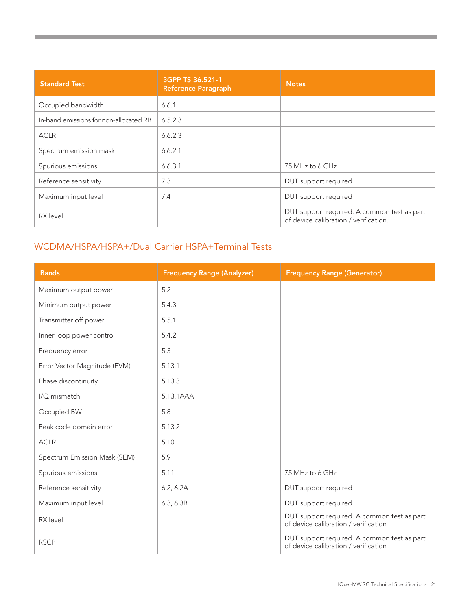| <b>Standard Test</b>                   | 3GPP TS 36.521-1<br><b>Reference Paragraph</b> | <b>Notes</b>                                                                         |
|----------------------------------------|------------------------------------------------|--------------------------------------------------------------------------------------|
| Occupied bandwidth                     | 6.6.1                                          |                                                                                      |
| In-band emissions for non-allocated RB | 6.5.2.3                                        |                                                                                      |
| <b>ACLR</b>                            | 6.6.2.3                                        |                                                                                      |
| Spectrum emission mask                 | 6.6.2.1                                        |                                                                                      |
| Spurious emissions                     | 6.6.3.1                                        | 75 MHz to 6 GHz                                                                      |
| Reference sensitivity                  | 7.3                                            | DUT support required                                                                 |
| Maximum input level                    | 7.4                                            | DUT support required                                                                 |
| RX level                               |                                                | DUT support required. A common test as part<br>of device calibration / verification. |

#### WCDMA/HSPA/HSPA+/Dual Carrier HSPA+Terminal Tests

**The Community of Community** 

| <b>Bands</b>                 | <b>Frequency Range (Analyzer)</b> | <b>Frequency Range (Generator)</b>                                                  |
|------------------------------|-----------------------------------|-------------------------------------------------------------------------------------|
| Maximum output power         | 5.2                               |                                                                                     |
| Minimum output power         | 5.4.3                             |                                                                                     |
| Transmitter off power        | 5.5.1                             |                                                                                     |
| Inner loop power control     | 5.4.2                             |                                                                                     |
| Frequency error              | 5.3                               |                                                                                     |
| Error Vector Magnitude (EVM) | 5.13.1                            |                                                                                     |
| Phase discontinuity          | 5.13.3                            |                                                                                     |
| I/Q mismatch                 | 5.13.1AAA                         |                                                                                     |
| Occupied BW                  | 5.8                               |                                                                                     |
| Peak code domain error       | 5.13.2                            |                                                                                     |
| <b>ACLR</b>                  | 5.10                              |                                                                                     |
| Spectrum Emission Mask (SEM) | 5.9                               |                                                                                     |
| Spurious emissions           | 5.11                              | 75 MHz to 6 GHz                                                                     |
| Reference sensitivity        | 6.2, 6.2A                         | DUT support required                                                                |
| Maximum input level          | 6.3, 6.3B                         | DUT support required                                                                |
| RX level                     |                                   | DUT support required. A common test as part<br>of device calibration / verification |
| <b>RSCP</b>                  |                                   | DUT support required. A common test as part<br>of device calibration / verification |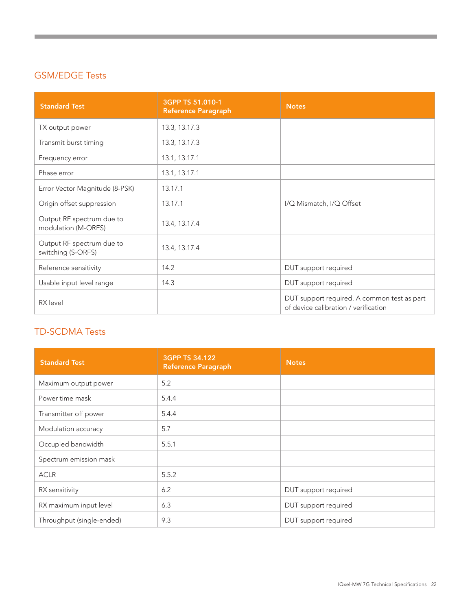#### GSM/EDGE Tests

and the control of the control of the control of

| <b>Standard Test</b>                             | 3GPP TS 51.010-1<br><b>Reference Paragraph</b> | <b>Notes</b>                                                                        |
|--------------------------------------------------|------------------------------------------------|-------------------------------------------------------------------------------------|
| TX output power                                  | 13.3, 13.17.3                                  |                                                                                     |
| Transmit burst timing                            | 13.3, 13.17.3                                  |                                                                                     |
| Frequency error                                  | 13.1, 13.17.1                                  |                                                                                     |
| Phase error                                      | 13.1, 13.17.1                                  |                                                                                     |
| Error Vector Magnitude (8-PSK)                   | 13.17.1                                        |                                                                                     |
| Origin offset suppression                        | 13.17.1                                        | I/Q Mismatch, I/Q Offset                                                            |
| Output RF spectrum due to<br>modulation (M-ORFS) | 13.4, 13.17.4                                  |                                                                                     |
| Output RF spectrum due to<br>switching (S-ORFS)  | 13.4, 13.17.4                                  |                                                                                     |
| Reference sensitivity                            | 14.2                                           | DUT support required                                                                |
| Usable input level range                         | 14.3                                           | DUT support required                                                                |
| RX level                                         |                                                | DUT support required. A common test as part<br>of device calibration / verification |

### TD-SCDMA Tests

| <b>Standard Test</b>      | 3GPP TS 34.122<br><b>Reference Paragraph</b> | <b>Notes</b>         |
|---------------------------|----------------------------------------------|----------------------|
| Maximum output power      | 5.2                                          |                      |
| Power time mask           | 5.4.4                                        |                      |
| Transmitter off power     | 5.4.4                                        |                      |
| Modulation accuracy       | 5.7                                          |                      |
| Occupied bandwidth        | 5.5.1                                        |                      |
| Spectrum emission mask    |                                              |                      |
| <b>ACLR</b>               | 5.5.2                                        |                      |
| RX sensitivity            | 6.2                                          | DUT support required |
| RX maximum input level    | 6.3                                          | DUT support required |
| Throughput (single-ended) | 9.3                                          | DUT support required |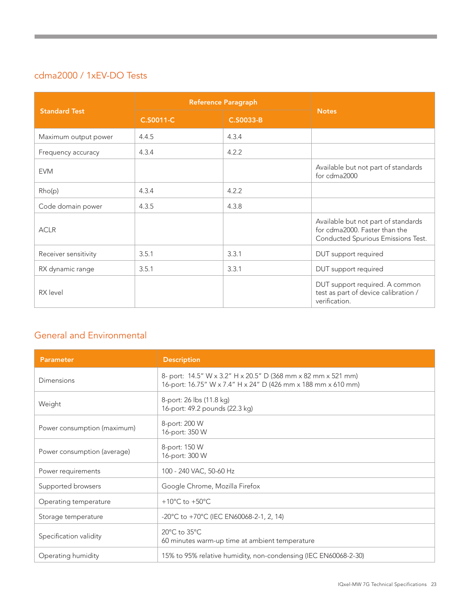### cdma2000 / 1xEV-DO Tests

| <b>Standard Test</b> | <b>Reference Paragraph</b> |           |                                                                                                            |
|----------------------|----------------------------|-----------|------------------------------------------------------------------------------------------------------------|
|                      | C.S0011-C                  | C.S0033-B | <b>Notes</b>                                                                                               |
| Maximum output power | 4.4.5                      | 4.3.4     |                                                                                                            |
| Frequency accuracy   | 4.3.4                      | 4.2.2     |                                                                                                            |
| <b>EVM</b>           |                            |           | Available but not part of standards<br>for cdma2000                                                        |
| Rho(p)               | 4.3.4                      | 4.2.2     |                                                                                                            |
| Code domain power    | 4.3.5                      | 4.3.8     |                                                                                                            |
| <b>ACLR</b>          |                            |           | Available but not part of standards<br>for cdma2000. Faster than the<br>Conducted Spurious Emissions Test. |
| Receiver sensitivity | 3.5.1                      | 3.3.1     | DUT support required                                                                                       |
| RX dynamic range     | 3.5.1                      | 3.3.1     | DUT support required                                                                                       |
| RX level             |                            |           | DUT support required. A common<br>test as part of device calibration /<br>verification.                    |

#### General and Environmental

| Parameter                   | <b>Description</b>                                                                                                             |
|-----------------------------|--------------------------------------------------------------------------------------------------------------------------------|
| Dimensions                  | 8- port: 14.5" W x 3.2" H x 20.5" D (368 mm x 82 mm x 521 mm)<br>16-port: 16.75" W x 7.4" H x 24" D (426 mm x 188 mm x 610 mm) |
| Weight                      | 8-port: 26 lbs (11.8 kg)<br>16-port: 49.2 pounds (22.3 kg)                                                                     |
| Power consumption (maximum) | 8-port: 200 W<br>16-port: 350 W                                                                                                |
| Power consumption (average) | 8-port: 150 W<br>16-port: 300 W                                                                                                |
| Power requirements          | 100 - 240 VAC, 50-60 Hz                                                                                                        |
| Supported browsers          | Google Chrome, Mozilla Firefox                                                                                                 |
| Operating temperature       | +10 $^{\circ}$ C to +50 $^{\circ}$ C                                                                                           |
| Storage temperature         | $-20^{\circ}$ C to $+70^{\circ}$ C (IEC EN60068-2-1, 2, 14)                                                                    |
| Specification validity      | $20^{\circ}$ C to $35^{\circ}$ C<br>60 minutes warm-up time at ambient temperature                                             |
| Operating humidity          | 15% to 95% relative humidity, non-condensing (IEC EN60068-2-30)                                                                |

a sa kabila sa kasang sa kalawang sa kasang sa kasang sa kasang sa kasang sa kasang sa kasang sa kasang sa kas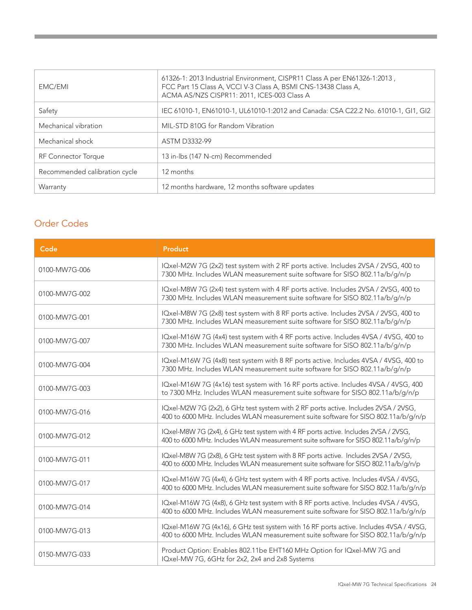| EMC/EMI                       | 61326-1: 2013 Industrial Environment, CISPR11 Class A per EN61326-1:2013,<br>FCC Part 15 Class A, VCCI V-3 Class A, BSMI CNS-13438 Class A,<br>ACMA AS/NZS CISPR11: 2011, ICES-003 Class A |
|-------------------------------|--------------------------------------------------------------------------------------------------------------------------------------------------------------------------------------------|
| Safety                        | IEC 61010-1, EN61010-1, UL61010-1:2012 and Canada: CSA C22.2 No. 61010-1, GI1, GI2                                                                                                         |
| Mechanical vibration          | MIL-STD 810G for Random Vibration                                                                                                                                                          |
| Mechanical shock              | <b>ASTM D3332-99</b>                                                                                                                                                                       |
| <b>RF Connector Torque</b>    | 13 in-lbs (147 N-cm) Recommended                                                                                                                                                           |
| Recommended calibration cycle | 12 months                                                                                                                                                                                  |
| Warranty                      | 12 months hardware, 12 months software updates                                                                                                                                             |

#### Order Codes

| Code          | Product                                                                                                                                                                      |
|---------------|------------------------------------------------------------------------------------------------------------------------------------------------------------------------------|
| 0100-MW7G-006 | IQxel-M2W 7G (2x2) test system with 2 RF ports active. Includes 2VSA / 2VSG, 400 to<br>7300 MHz. Includes WLAN measurement suite software for SISO 802.11a/b/g/n/p           |
| 0100-MW7G-002 | IQxel-M8W 7G (2x4) test system with 4 RF ports active. Includes 2VSA / 2VSG, 400 to<br>7300 MHz. Includes WLAN measurement suite software for SISO 802.11a/b/g/n/p           |
| 0100-MW7G-001 | IQxel-M8W 7G (2x8) test system with 8 RF ports active. Includes 2VSA / 2VSG, 400 to<br>7300 MHz. Includes WLAN measurement suite software for SISO 802.11a/b/g/n/p           |
| 0100-MW7G-007 | IQxel-M16W 7G (4x4) test system with 4 RF ports active. Includes 4VSA / 4VSG, 400 to<br>7300 MHz. Includes WLAN measurement suite software for SISO 802.11a/b/g/n/p          |
| 0100-MW7G-004 | IQxel-M16W 7G (4x8) test system with 8 RF ports active. Includes 4VSA / 4VSG, 400 to<br>7300 MHz. Includes WLAN measurement suite software for SISO 802.11a/b/g/n/p          |
| 0100-MW7G-003 | IQxel-M16W 7G (4x16) test system with 16 RF ports active. Includes 4VSA / 4VSG, 400<br>to 7300 MHz. Includes WLAN measurement suite software for SISO 802.11a/b/g/n/p        |
| 0100-MW7G-016 | IQxel-M2W 7G (2x2), 6 GHz test system with 2 RF ports active. Includes 2VSA / 2VSG,<br>400 to 6000 MHz. Includes WLAN measurement suite software for SISO 802.11a/b/g/n/p    |
| 0100-MW7G-012 | IQxel-M8W 7G (2x4), 6 GHz test system with 4 RF ports active. Includes 2VSA / 2VSG,<br>400 to 6000 MHz. Includes WLAN measurement suite software for SISO 802.11a/b/g/n/p    |
| 0100-MW7G-011 | IQxel-M8W 7G (2x8), 6 GHz test system with 8 RF ports active. Includes 2VSA / 2VSG,<br>400 to 6000 MHz. Includes WLAN measurement suite software for SISO 802.11a/b/g/n/p    |
| 0100-MW7G-017 | IQxel-M16W 7G (4x4), 6 GHz test system with 4 RF ports active. Includes 4VSA / 4VSG,<br>400 to 6000 MHz. Includes WLAN measurement suite software for SISO 802.11a/b/g/n/p   |
| 0100-MW7G-014 | IQxel-M16W 7G (4x8), 6 GHz test system with 8 RF ports active. Includes 4VSA / 4VSG,<br>400 to 6000 MHz. Includes WLAN measurement suite software for SISO 802.11a/b/g/n/p   |
| 0100-MW7G-013 | IQxel-M16W 7G (4x16), 6 GHz test system with 16 RF ports active. Includes 4VSA / 4VSG,<br>400 to 6000 MHz. Includes WLAN measurement suite software for SISO 802.11a/b/g/n/p |
| 0150-MW7G-033 | Product Option: Enables 802.11be EHT160 MHz Option for IQxel-MW 7G and<br>IQxel-MW 7G, 6GHz for 2x2, 2x4 and 2x8 Systems                                                     |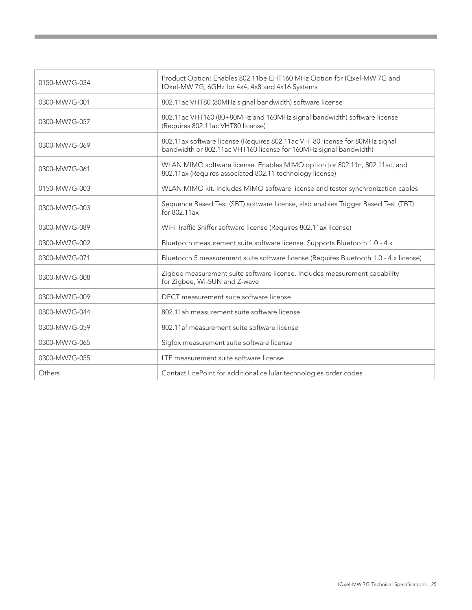| 0150-MW7G-034 | Product Option: Enables 802.11be EHT160 MHz Option for IQxel-MW 7G and<br>IQxel-MW 7G, 6GHz for 4x4, 4x8 and 4x16 Systems                        |
|---------------|--------------------------------------------------------------------------------------------------------------------------------------------------|
| 0300-MW7G-001 | 802.11ac VHT80 (80MHz signal bandwidth) software license                                                                                         |
| 0300-MW7G-057 | 802.11ac VHT160 (80+80MHz and 160MHz signal bandwidth) software license<br>(Requires 802.11ac VHT80 license)                                     |
| 0300-MW7G-069 | 802.11ax software license (Requires 802.11ac VHT80 license for 80MHz signal<br>bandwidth or 802.11ac VHT160 license for 160MHz signal bandwidth) |
| 0300-MW7G-061 | WLAN MIMO software license. Enables MIMO option for 802.11n, 802.11ac, and<br>802.11ax (Requires associated 802.11 technology license)           |
| 0150-MW7G-003 | WLAN MIMO kit. Includes MIMO software license and tester synchronization cables                                                                  |
| 0300-MW7G-003 | Sequence Based Test (SBT) software license, also enables Trigger Based Test (TBT)<br>for 802.11ax                                                |
| 0300-MW7G-089 | WiFi Traffic Sniffer software license (Requires 802.11ax license)                                                                                |
| 0300-MW7G-002 | Bluetooth measurement suite software license. Supports Bluetooth 1.0 - 4.x                                                                       |
| 0300-MW7G-071 | Bluetooth 5 measurement suite software license (Requires Bluetooth 1.0 - 4.x license)                                                            |
| 0300-MW7G-008 | Zigbee measurement suite software license. Includes measurement capability<br>for Zigbee, Wi-SUN and Z-wave                                      |
| 0300-MW7G-009 | DECT measurement suite software license                                                                                                          |
| 0300-MW7G-044 | 802.11ah measurement suite software license                                                                                                      |
| 0300-MW7G-059 | 802.11af measurement suite software license                                                                                                      |
| 0300-MW7G-065 | Sigfox measurement suite software license                                                                                                        |
| 0300-MW7G-055 | LTE measurement suite software license                                                                                                           |
| Others        | Contact LitePoint for additional cellular technologies order codes                                                                               |

 $\mathcal{L}^{\text{max}}_{\text{max}}$  and  $\mathcal{L}^{\text{max}}_{\text{max}}$  and  $\mathcal{L}^{\text{max}}_{\text{max}}$